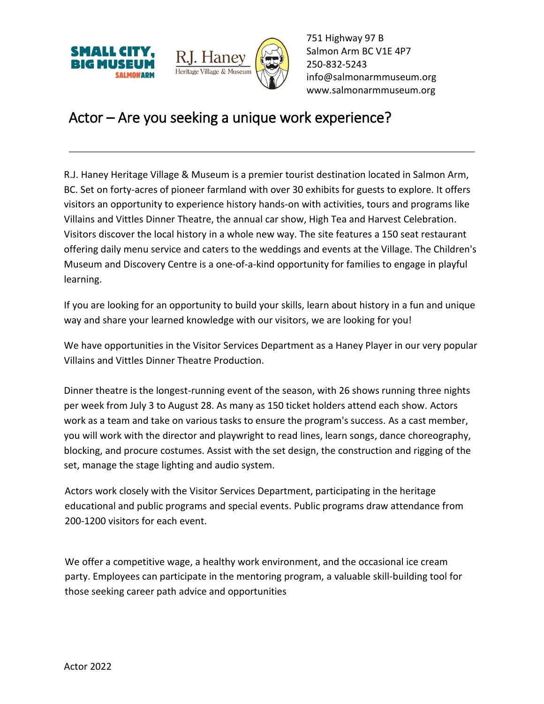



751 Highway 97 B Salmon Arm BC V1E 4P7 250-832-5243 [info@salmonarmmuseum.org](mailto:info@salmonarmmuseum.org) www.salmonarmmuseum.org

## Actor – Are you seeking a unique work experience?

R.J. Haney Heritage Village & Museum is a premier tourist destination located in Salmon Arm, BC. Set on forty-acres of pioneer farmland with over 30 exhibits for guests to explore. It offers visitors an opportunity to experience history hands-on with activities, tours and programs like Villains and Vittles Dinner Theatre, the annual car show, High Tea and Harvest Celebration. Visitors discover the local history in a whole new way. The site features a 150 seat restaurant offering daily menu service and caters to the weddings and events at the Village. The Children's Museum and Discovery Centre is a one-of-a-kind opportunity for families to engage in playful learning.

If you are looking for an opportunity to build your skills, learn about history in a fun and unique way and share your learned knowledge with our visitors, we are looking for you!

We have opportunities in the Visitor Services Department as a Haney Player in our very popular Villains and Vittles Dinner Theatre Production.

Dinner theatre is the longest-running event of the season, with 26 shows running three nights per week from July 3 to August 28. As many as 150 ticket holders attend each show. Actors work as a team and take on various tasks to ensure the program's success. As a cast member, you will work with the director and playwright to read lines, learn songs, dance choreography, blocking, and procure costumes. Assist with the set design, the construction and rigging of the set, manage the stage lighting and audio system.

Actors work closely with the Visitor Services Department, participating in the heritage educational and public programs and special events. Public programs draw attendance from 200-1200 visitors for each event.

We offer a competitive wage, a healthy work environment, and the occasional ice cream party. Employees can participate in the mentoring program, a valuable skill-building tool for those seeking career path advice and opportunities